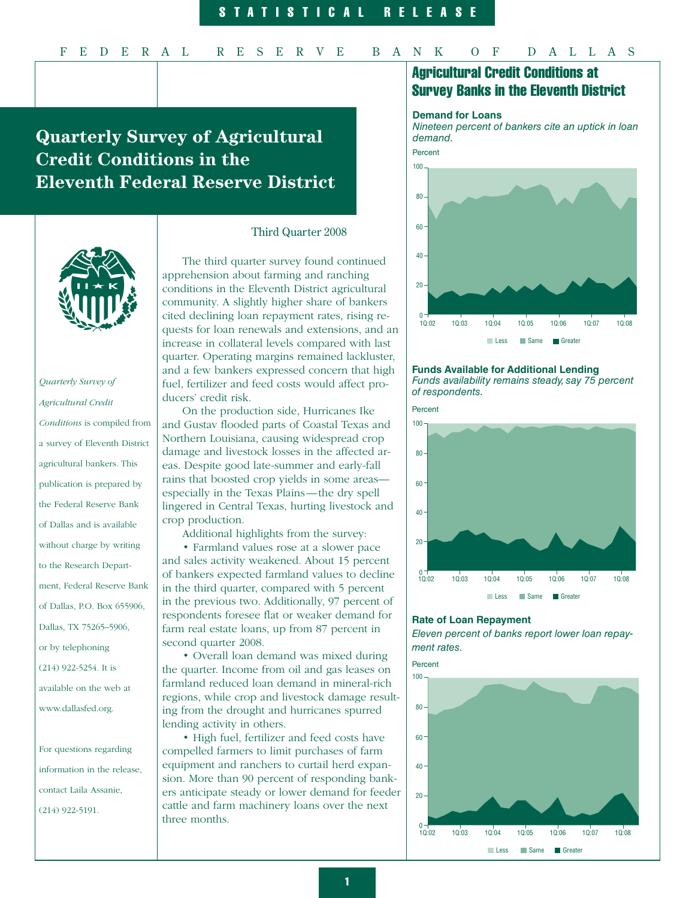# **Quarterly Survey of Agricultural Credit Conditions in the Eleventh Federal Reserve District**



*Quarterly Survey of Agricultural Credit Conditions* is compiled from a survey of Eleventh District agricultural bankers. This publication is prepared by the Federal Reserve Bank of Dallas and is available without charge by writing to the Research Department, Federal Reserve Bank of Dallas, P.O. Box 655906, Dallas, TX 75265–5906, or by telephoning (214) 922-5254. It is available on the web at www.dallasfed.org.

For questions regarding information in the release, contact Laila Assanie, (214) 922-5191.

## Third Quarter 2008

The third quarter survey found continued apprehension about farming and ranching conditions in the Eleventh District agricultural community. A slightly higher share of bankers cited declining loan repayment rates, rising requests for loan renewals and extensions, and an increase in collateral levels compared with last quarter. Operating margins remained lackluster, and a few bankers expressed concern that high fuel, fertilizer and feed costs would affect producers' credit risk.

On the production side, Hurricanes Ike and Gustav flooded parts of Coastal Texas and Northern Louisiana, causing widespread crop damage and livestock losses in the affected areas. Despite good late-summer and early-fall rains that boosted crop yields in some areas especially in the Texas Plains—the dry spell lingered in Central Texas, hurting livestock and crop production.

Additional highlights from the survey:

 • Farmland values rose at a slower pace and sales activity weakened. About 15 percent of bankers expected farmland values to decline in the third quarter, compared with 5 percent in the previous two. Additionally, 97 percent of respondents foresee flat or weaker demand for farm real estate loans, up from 87 percent in second quarter 2008.

 • Overall loan demand was mixed during the quarter. Income from oil and gas leases on farmland reduced loan demand in mineral-rich regions, while crop and livestock damage resulting from the drought and hurricanes spurred lending activity in others.

 • High fuel, fertilizer and feed costs have compelled farmers to limit purchases of farm equipment and ranchers to curtail herd expansion. More than 90 percent of responding bankers anticipate steady or lower demand for feeder cattle and farm machinery loans over the next three months.

# Agricultural Credit Conditions at Survey Banks in the Eleventh District

#### **Demand for Loans**

*Nineteen percent of bankers cite an uptick in loan demand.* 



**Funds Available for Additional Lending** *Funds availability remains steady, say 75 percent of respondents.*



#### **Rate of Loan Repayment**

*Eleven percent of banks report lower loan repayment rates.* 

Percent

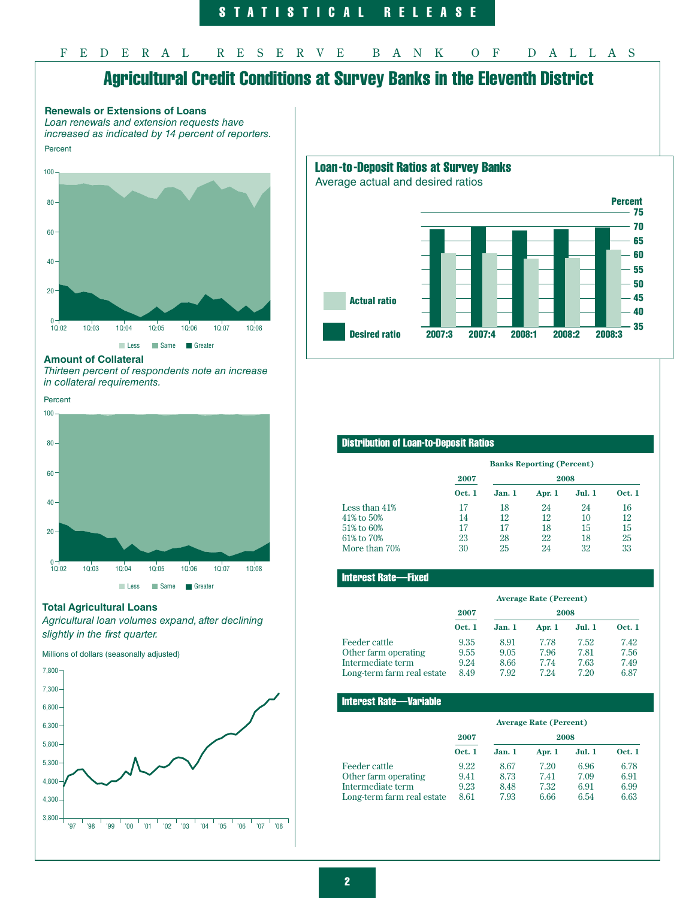# Agricultural Credit Conditions at Survey Banks in the Eleventh District





#### **Amount of Collateral**

*Thirteen percent of respondents note an increase in collateral requirements.* 

## Percent



## **Total Agricultural Loans**

*Agricultural loan volumes expand, after declining slightly in the first quarter.*

Millions of dollars (seasonally adjusted)



# Loan-to-Deposit Ratios at Survey Banks

Average actual and desired ratios



# Distribution of Loan-to-Deposit Ratios

|               | <b>Banks Reporting (Percent)</b> |        |        |       |               |
|---------------|----------------------------------|--------|--------|-------|---------------|
|               | 2008<br>2007                     |        |        |       |               |
|               | <b>Oct. 1</b>                    | Jan. 1 | Apr. 1 | Jul.1 | <b>Oct. 1</b> |
| Less than 41% | 17                               | 18     | 24     | 24    | 16            |
| 41% to 50%    | 14                               | 12     | 12     | 10    | 12            |
| 51% to 60%    | 17                               | 17     | 18     | 15    | 15            |
| 61% to 70%    | 23                               | 28     | 22     | 18    | 25            |
| More than 70% | 30                               | 25     | 24     | 32    | 33            |

## Interest Rate—Fixed

|                            | <b>Average Rate (Percent)</b> |        |        |        |               |
|----------------------------|-------------------------------|--------|--------|--------|---------------|
|                            | 2007<br>2008                  |        |        |        |               |
|                            | <b>Oct. 1</b>                 | Jan. 1 | Apr. 1 | Jul. 1 | <b>Oct. 1</b> |
| Feeder cattle              | 9.35                          | 8.91   | 7.78   | 7.52   | 7.42          |
| Other farm operating       | 9.55                          | 9.05   | 7.96   | 7.81   | 7.56          |
| Intermediate term          | 9.24                          | 8.66   | 7.74   | 7.63   | 7.49          |
| Long-term farm real estate | 8.49                          | 7.92   | 7 24   | 7.20   | 6.87          |

#### Interest Rate—Variable

|                            | <b>Average Rate (Percent)</b> |        |        |               |               |
|----------------------------|-------------------------------|--------|--------|---------------|---------------|
|                            | 2007<br>2008                  |        |        |               |               |
|                            | <b>Oct. 1</b>                 | Jan. 1 | Apr. 1 | <b>Jul. 1</b> | <b>Oct. 1</b> |
| Feeder cattle              | 9.22                          | 8.67   | 7.20   | 6.96          | 6.78          |
| Other farm operating       | 9.41                          | 8.73   | 7.41   | 7.09          | 6.91          |
| Intermediate term          | 9.23                          | 8.48   | 7.32   | 6.91          | 6.99          |
| Long-term farm real estate | 8.61                          | 7.93   | 6.66   | 6.54          | 6.63          |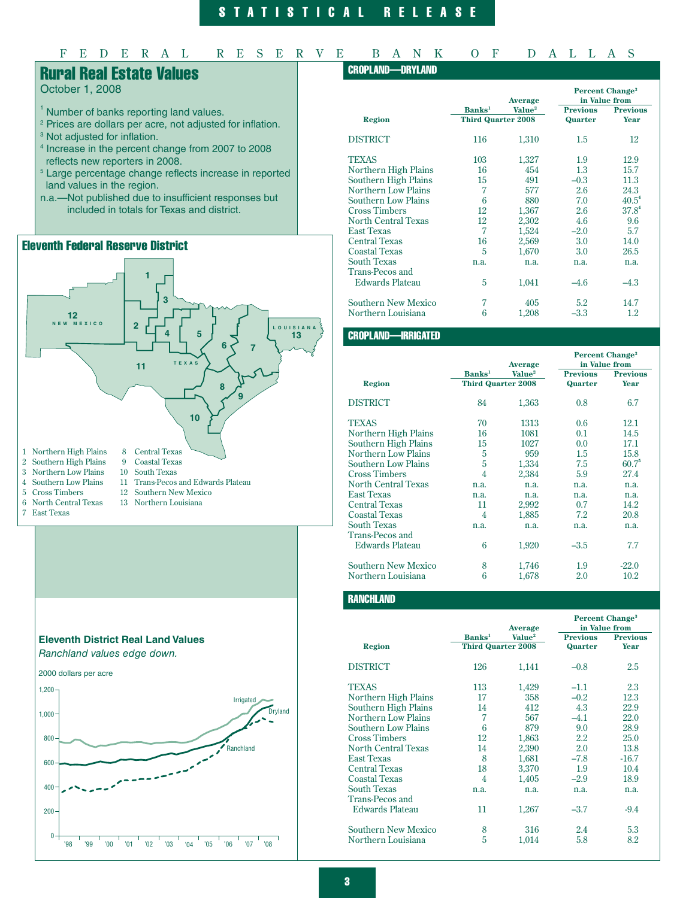# STATISTICAL RELEASE

# FEDERAL RESERVE BANK OF DALLAS

# Rural Real Estate Values

# October 1, 2008

- <sup>1</sup> Number of banks reporting land values.
- 2 Prices are dollars per acre, not adjusted for inflation.
- <sup>3</sup> Not adjusted for inflation.
- 4 Increase in the percent change from 2007 to 2008 reflects new reporters in 2008.
- <sup>5</sup> Large percentage change reflects increase in reported land values in the region.
- n.a.—Not published due to insufficient responses but included in totals for Texas and district.

# Eleventh Federal Reserve District





# CROPLAND—DRYLAND

|                            |                           | Average            | <b>Percent Change<sup>3</sup></b><br>in Value from |                 |
|----------------------------|---------------------------|--------------------|----------------------------------------------------|-----------------|
|                            | <b>Banks</b> <sup>1</sup> | Value <sup>2</sup> | <b>Previous</b>                                    | <b>Previous</b> |
| <b>Region</b>              | <b>Third Quarter 2008</b> |                    | Quarter                                            | Year            |
| <b>DISTRICT</b>            | 116                       | 1,310              | $1.5\,$                                            | 12              |
| TEXAS                      | 103                       | 1,327              | 1.9                                                | 12.9            |
| Northern High Plains       | 16                        | 454                | 1.3                                                | 15.7            |
| Southern High Plains       | 15                        | 491                | $-0.3$                                             | 11.3            |
| <b>Northern Low Plains</b> | 7                         | 577                | 2.6                                                | 24.3            |
| Southern Low Plains        | 6                         | 880                | 7.0                                                | $40.5^4$        |
| <b>Cross Timbers</b>       | 12                        | 1,367              | 2.6                                                | $37.8^4$        |
| North Central Texas        | 12                        | 2,302              | 4.6                                                | 9.6             |
| <b>East Texas</b>          | $\overline{7}$            | 1,524              | $-2.0$                                             | 5.7             |
| <b>Central Texas</b>       | 16                        | 2,569              | 3.0                                                | 14.0            |
| <b>Coastal Texas</b>       | 5                         | 1,670              | 3.0                                                | 26.5            |
| <b>South Texas</b>         | n.a.                      | n.a.               | n.a.                                               | n.a.            |
| Trans-Pecos and            |                           |                    |                                                    |                 |
| <b>Edwards Plateau</b>     | 5                         | 1,041              | $-4.6$                                             | $-4.3$          |
| Southern New Mexico        | 7                         | 405                | 5.2                                                | 14.7            |
| Northern Louisiana         | 6                         | 1,208              | $-3.3$                                             | $1.2\,$         |
|                            |                           |                    |                                                    |                 |

# CROPLAND—IRRIGATED

|                            |                           |                    | <b>Percent Change<sup>3</sup></b> |                 |  |
|----------------------------|---------------------------|--------------------|-----------------------------------|-----------------|--|
|                            |                           | Average            |                                   | in Value from   |  |
|                            | <b>Banks</b> <sup>1</sup> | Value <sup>2</sup> | <b>Previous</b>                   | <b>Previous</b> |  |
| Region                     | <b>Third Quarter 2008</b> |                    | Quarter                           | Year            |  |
| <b>DISTRICT</b>            | 84                        | 1,363              | 0.8                               | 6.7             |  |
| <b>TEXAS</b>               | 70                        | 1313               | 0.6                               | 12.1            |  |
| Northern High Plains       | 16                        | 1081               | 0.1                               | 14.5            |  |
| Southern High Plains       | 15                        | 1027               | 0.0                               | 17.1            |  |
| <b>Northern Low Plains</b> | 5                         | 959                | 1.5                               | 15.8            |  |
| <b>Southern Low Plains</b> | 5                         | 1,334              | 7.5                               | $60.7^\circ$    |  |
| <b>Cross Timbers</b>       | 4                         | 2,384              | 5.9                               | 27.4            |  |
| <b>North Central Texas</b> | n.a.                      | n.a.               | n.a.                              | n.a.            |  |
| <b>East Texas</b>          | n.a.                      | n.a.               | n.a.                              | n.a.            |  |
| <b>Central Texas</b>       | 11                        | 2,992              | 0.7                               | 14.2            |  |
| <b>Coastal Texas</b>       | $\overline{4}$            | 1,885              | 7.2                               | 20.8            |  |
| <b>South Texas</b>         | n.a.                      | n.a.               | n.a.                              | n.a.            |  |
| <b>Trans-Pecos and</b>     |                           |                    |                                   |                 |  |
| <b>Edwards Plateau</b>     | 6                         | 1,920              | $-3.5$                            | 7.7             |  |
| <b>Southern New Mexico</b> | 8                         | 1,746              | 1.9                               | $-22.0$         |  |
| Northern Louisiana         | 6                         | 1,678              | 2.0                               | 10.2            |  |

# **RANCHLAND**

|                            |                           | Average            | Percent Change <sup>3</sup><br>in Value from |                 |
|----------------------------|---------------------------|--------------------|----------------------------------------------|-----------------|
|                            | <b>Banks</b> <sup>1</sup> | Value <sup>2</sup> | <b>Previous</b>                              | <b>Previous</b> |
| <b>Region</b>              | <b>Third Quarter 2008</b> |                    | Quarter                                      | Year            |
| <b>DISTRICT</b>            | 126                       | 1,141              | $-0.8$                                       | 2.5             |
| <b>TEXAS</b>               | 113                       | 1,429              | $-1.1$                                       | 2.3             |
| Northern High Plains       | 17                        | 358                | $-0.2$                                       | 12.3            |
| Southern High Plains       | 14                        | 412                | 4.3                                          | 22.9            |
| <b>Northern Low Plains</b> | 7                         | 567                | $-4.1$                                       | 22.0            |
| Southern Low Plains        | 6                         | 879                | 9.0                                          | 28.9            |
| <b>Cross Timbers</b>       | 12                        | 1,863              | 2.2                                          | 25.0            |
| <b>North Central Texas</b> | 14                        | 2,390              | 2.0                                          | 13.8            |
| <b>East Texas</b>          | 8                         | 1,681              | $-7.8$                                       | $-16.7$         |
| <b>Central Texas</b>       | 18                        | 3,370              | 1.9                                          | 10.4            |
| <b>Coastal Texas</b>       | 4                         | 1,405              | $-2.9$                                       | 18.9            |
| <b>South Texas</b>         | n.a.                      | n.a.               | n.a.                                         | n.a.            |
| Trans-Pecos and            |                           |                    |                                              |                 |
| <b>Edwards Plateau</b>     | 11                        | 1,267              | $-3.7$                                       | $-9.4$          |
| <b>Southern New Mexico</b> | 8                         | 316                | 2.4                                          | 5.3             |
| Northern Louisiana         | 5                         | 1,014              | 5.8                                          | 8.2             |